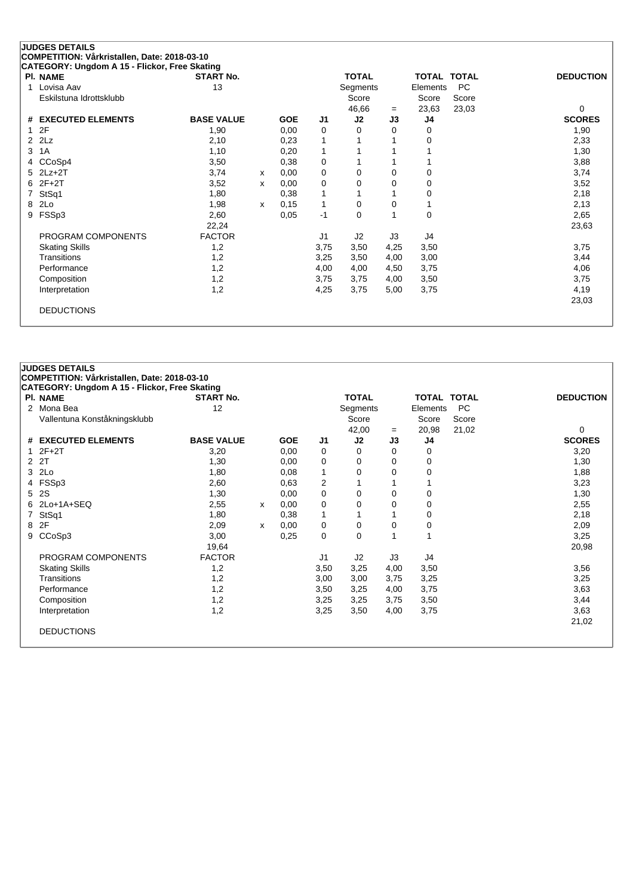| <b>JUDGES DETAILS</b>                         |                   |   |            |                |              |          |                       |                  |
|-----------------------------------------------|-------------------|---|------------|----------------|--------------|----------|-----------------------|------------------|
| COMPETITION: Vårkristallen, Date: 2018-03-10  |                   |   |            |                |              |          |                       |                  |
| CATEGORY: Ungdom A 15 - Flickor, Free Skating |                   |   |            |                |              |          |                       |                  |
| PI. NAME                                      | <b>START No.</b>  |   |            |                | <b>TOTAL</b> |          | TOTAL TOTAL           | <b>DEDUCTION</b> |
| Lovisa Aav<br>1                               | 13                |   |            |                | Segments     |          | <b>PC</b><br>Elements |                  |
| Eskilstuna Idrottsklubb                       |                   |   |            |                | Score        |          | Score<br>Score        |                  |
|                                               |                   |   |            |                | 46,66        | $=$      | 23,03<br>23,63        | $\Omega$         |
| <b>EXECUTED ELEMENTS</b><br>#                 | <b>BASE VALUE</b> |   | <b>GOE</b> | J <sub>1</sub> | J2           | J3       | J4                    | <b>SCORES</b>    |
| 2F                                            | 1,90              |   | 0,00       | 0              | 0            | 0        | 0                     | 1,90             |
| 2Lz<br>2                                      | 2,10              |   | 0,23       | 1              |              |          | 0                     | 2,33             |
| 1A<br>3                                       | 1,10              |   | 0,20       | 1              |              |          |                       | 1,30             |
| CCoSp4<br>4                                   | 3,50              |   | 0,38       | 0              |              |          |                       | 3,88             |
| $2Lz+2T$<br>5                                 | 3,74              | x | 0,00       | 0              | 0            | 0        | 0                     | 3,74             |
| $2F+2T$<br>6                                  | 3,52              | x | 0,00       | 0              | 0            | $\Omega$ | 0                     | 3,52             |
| StSq1                                         | 1,80              |   | 0,38       |                |              |          | 0                     | 2,18             |
| 2Lo<br>8                                      | 1,98              | x | 0,15       | 1              | 0            | 0        |                       | 2,13             |
| FSSp3<br>9                                    | 2,60              |   | 0,05       | $-1$           | $\Omega$     | 1        | 0                     | 2,65             |
|                                               | 22,24             |   |            |                |              |          |                       | 23,63            |
| PROGRAM COMPONENTS                            | <b>FACTOR</b>     |   |            | J <sub>1</sub> | J2           | J3       | J4                    |                  |
| <b>Skating Skills</b>                         | 1,2               |   |            | 3,75           | 3,50         | 4,25     | 3,50                  | 3,75             |
| Transitions                                   | 1,2               |   |            | 3,25           | 3,50         | 4,00     | 3,00                  | 3,44             |
| Performance                                   | 1,2               |   |            | 4,00           | 4,00         | 4,50     | 3,75                  | 4,06             |
| Composition                                   | 1,2               |   |            | 3,75           | 3,75         | 4,00     | 3,50                  | 3,75             |
| Interpretation                                | 1,2               |   |            | 4,25           | 3,75         | 5,00     | 3,75                  | 4,19             |
|                                               |                   |   |            |                |              |          |                       | 23,03            |
| <b>DEDUCTIONS</b>                             |                   |   |            |                |              |          |                       |                  |
|                                               |                   |   |            |                |              |          |                       |                  |

|                | <b>JUDGES DETAILS</b>                         |                   |   |            |                |              |          |                    |           |                  |
|----------------|-----------------------------------------------|-------------------|---|------------|----------------|--------------|----------|--------------------|-----------|------------------|
|                | COMPETITION: Vårkristallen, Date: 2018-03-10  |                   |   |            |                |              |          |                    |           |                  |
|                | CATEGORY: Ungdom A 15 - Flickor, Free Skating |                   |   |            |                |              |          |                    |           |                  |
|                | <b>PI. NAME</b>                               | <b>START No.</b>  |   |            |                | <b>TOTAL</b> |          | <b>TOTAL TOTAL</b> |           | <b>DEDUCTION</b> |
| 2              | Mona Bea                                      | 12                |   |            |                | Segments     |          | Elements           | <b>PC</b> |                  |
|                | Vallentuna Konståkningsklubb                  |                   |   |            |                | Score        |          | Score              | Score     |                  |
|                |                                               |                   |   |            |                | 42,00        | $=$      | 20,98              | 21,02     | 0                |
| #              | <b>EXECUTED ELEMENTS</b>                      | <b>BASE VALUE</b> |   | <b>GOE</b> | J1             | J2           | J3       | J4                 |           | <b>SCORES</b>    |
| $\mathbf{1}$   | $2F+2T$                                       | 3,20              |   | 0.00       | 0              | 0            | 0        | 0                  |           | 3,20             |
| $\overline{2}$ | 2T                                            | 1,30              |   | 0,00       | 0              | 0            | $\Omega$ | 0                  |           | 1,30             |
| 3              | 2Lo                                           | 1,80              |   | 0,08       | 1              | 0            | 0        | 0                  |           | 1,88             |
| 4              | FSSp3                                         | 2,60              |   | 0.63       | $\overline{2}$ | 1            |          |                    |           | 3,23             |
| 5              | 2S                                            | 1,30              |   | 0,00       | 0              | 0            | 0        | 0                  |           | 1,30             |
|                | 6 2Lo+1A+SEQ                                  | 2,55              | X | 0,00       | 0              | 0            | 0        | 0                  |           | 2,55             |
| $\overline{7}$ | StSq1                                         | 1,80              |   | 0,38       | $\mathbf{1}$   | 1            |          | 0                  |           | 2,18             |
| 8              | 2F                                            | 2,09              | X | 0,00       | 0              | 0            | 0        | 0                  |           | 2,09             |
| 9              | CCoSp3                                        | 3,00              |   | 0,25       | 0              | 0            | 1        |                    |           | 3,25             |
|                |                                               | 19,64             |   |            |                |              |          |                    |           | 20,98            |
|                | PROGRAM COMPONENTS                            | <b>FACTOR</b>     |   |            | J <sub>1</sub> | J2           | J3       | J4                 |           |                  |
|                | <b>Skating Skills</b>                         | 1,2               |   |            | 3,50           | 3,25         | 4,00     | 3,50               |           | 3,56             |
|                | Transitions                                   | 1,2               |   |            | 3,00           | 3,00         | 3,75     | 3,25               |           | 3,25             |
|                | Performance                                   | 1,2               |   |            | 3,50           | 3,25         | 4,00     | 3,75               |           | 3,63             |
|                | Composition                                   | 1,2               |   |            | 3,25           | 3,25         | 3,75     | 3,50               |           | 3,44             |
|                | Interpretation                                | 1,2               |   |            | 3,25           | 3,50         | 4,00     | 3,75               |           | 3,63             |
|                |                                               |                   |   |            |                |              |          |                    |           | 21,02            |
|                | <b>DEDUCTIONS</b>                             |                   |   |            |                |              |          |                    |           |                  |
|                |                                               |                   |   |            |                |              |          |                    |           |                  |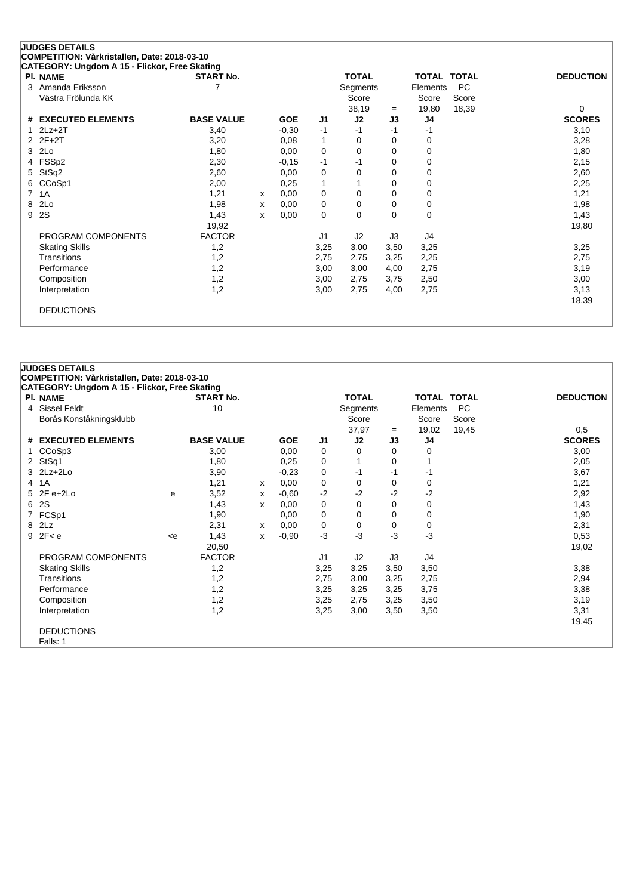| CATEGORY: Ungdom A 15 - Flickor, Free Skating |                       |   |            |                | <b>TOTAL</b> |      | <b>TOTAL TOTAL</b> |           |                  |
|-----------------------------------------------|-----------------------|---|------------|----------------|--------------|------|--------------------|-----------|------------------|
| PI. NAME<br>Amanda Eriksson<br>3              | <b>START No.</b><br>7 |   |            |                | Segments     |      | Elements           | <b>PC</b> | <b>DEDUCTION</b> |
| Västra Frölunda KK                            |                       |   |            |                | Score        |      | Score              | Score     |                  |
|                                               |                       |   |            |                | 38,19        | $=$  | 19,80              | 18,39     | 0                |
| <b>EXECUTED ELEMENTS</b><br>#                 | <b>BASE VALUE</b>     |   | <b>GOE</b> | J <sub>1</sub> | J2           | J3   | J4                 |           | <b>SCORES</b>    |
| $2Lz+2T$                                      | 3,40                  |   | $-0,30$    | $-1$           | $-1$         | $-1$ | -1                 |           | 3,10             |
| $2F+2T$                                       | 3,20                  |   | 0,08       | 1              | 0            | 0    | 0                  |           | 3,28             |
| 2Lo<br>3                                      | 1,80                  |   | 0,00       | 0              | 0            | 0    | 0                  |           | 1,80             |
| FSSp2<br>4                                    | 2,30                  |   | $-0,15$    | $-1$           | $-1$         | 0    | 0                  |           | 2,15             |
| StSq2<br>5                                    | 2,60                  |   | 0,00       | 0              | 0            | 0    | 0                  |           | 2,60             |
| CCoSp1<br>6                                   | 2,00                  |   | 0,25       | 1              |              | 0    | 0                  |           | 2,25             |
| 7<br>1A                                       | 1,21                  | x | 0,00       | 0              | 0            | 0    | 0                  |           | 1,21             |
| 2Lo<br>8                                      | 1,98                  | x | 0,00       | 0              | 0            | 0    | 0                  |           | 1,98             |
| 2S<br>9                                       | 1,43                  | X | 0,00       | 0              | 0            | 0    | 0                  |           | 1,43             |
|                                               | 19,92                 |   |            |                |              |      |                    |           | 19,80            |
| PROGRAM COMPONENTS                            | <b>FACTOR</b>         |   |            | J1             | J2           | J3   | J4                 |           |                  |
| <b>Skating Skills</b>                         | 1,2                   |   |            | 3,25           | 3,00         | 3,50 | 3,25               |           | 3,25             |
| Transitions                                   | 1,2                   |   |            | 2,75           | 2,75         | 3,25 | 2,25               |           | 2,75             |
| Performance                                   | 1,2                   |   |            | 3,00           | 3,00         | 4,00 | 2,75               |           | 3,19             |
| Composition                                   | 1,2                   |   |            | 3,00           | 2,75         | 3,75 | 2,50               |           | 3,00             |
| Interpretation                                | 1,2                   |   |            | 3,00           | 2,75         | 4,00 | 2,75               |           | 3,13             |
|                                               |                       |   |            |                |              |      |                    |           | 18,39            |

|                | <b>JUDGES DETAILS</b>                         |                                                                                                                                                                            |                   |   |            |                |              |      |                    |           |                  |
|----------------|-----------------------------------------------|----------------------------------------------------------------------------------------------------------------------------------------------------------------------------|-------------------|---|------------|----------------|--------------|------|--------------------|-----------|------------------|
|                | COMPETITION: Vårkristallen, Date: 2018-03-10  |                                                                                                                                                                            |                   |   |            |                |              |      |                    |           |                  |
|                | CATEGORY: Ungdom A 15 - Flickor, Free Skating |                                                                                                                                                                            |                   |   |            |                |              |      |                    |           |                  |
|                | <b>PI. NAME</b>                               |                                                                                                                                                                            | <b>START No.</b>  |   |            |                | <b>TOTAL</b> |      | <b>TOTAL TOTAL</b> |           | <b>DEDUCTION</b> |
|                | 4 Sissel Feldt                                |                                                                                                                                                                            | 10                |   |            |                | Segments     |      | Elements           | <b>PC</b> |                  |
|                | Borås Konståkningsklubb                       |                                                                                                                                                                            |                   |   |            |                | Score        |      | Score              | Score     |                  |
|                |                                               |                                                                                                                                                                            |                   |   |            |                | 37,97        | $=$  | 19,02              | 19,45     | 0,5              |
| #              | <b>EXECUTED ELEMENTS</b>                      |                                                                                                                                                                            | <b>BASE VALUE</b> |   | <b>GOE</b> | J1             | J2           | J3   | J4                 |           | <b>SCORES</b>    |
| $\mathbf 1$    | CCoSp3                                        |                                                                                                                                                                            | 3,00              |   | 0,00       | 0              | 0            | 0    | 0                  |           | 3,00             |
|                | 2 StSq1                                       |                                                                                                                                                                            | 1,80              |   | 0,25       | 0              | 1            | 0    |                    |           | 2,05             |
| 3              | $2Lz+2Lo$                                     |                                                                                                                                                                            | 3,90              |   | $-0,23$    | 0              | $-1$         | -1   | -1                 |           | 3,67             |
| $\overline{4}$ | 1A                                            |                                                                                                                                                                            | 1,21              | x | 0,00       | 0              | 0            | 0    | 0                  |           | 1,21             |
| 5              | $2F e+2Lo$                                    | e                                                                                                                                                                          | 3,52              | x | $-0.60$    | $-2$           | $-2$         | $-2$ | $-2$               |           | 2,92             |
| 6              | 2S                                            |                                                                                                                                                                            | 1,43              | x | 0,00       | 0              | 0            | 0    | 0                  |           | 1,43             |
| $\overline{7}$ | FCSp1                                         |                                                                                                                                                                            | 1,90              |   | 0,00       | 0              | 0            | 0    | 0                  |           | 1,90             |
| 8              | 2Lz                                           |                                                                                                                                                                            | 2,31              | x | 0,00       | 0              | 0            | 0    | 0                  |           | 2,31             |
|                | $9$ 2F< e                                     | <e< td=""><td>1,43</td><td>x</td><td><math>-0,90</math></td><td><math>-3</math></td><td><math>-3</math></td><td><math>-3</math></td><td>-3</td><td></td><td>0,53</td></e<> | 1,43              | x | $-0,90$    | $-3$           | $-3$         | $-3$ | -3                 |           | 0,53             |
|                |                                               |                                                                                                                                                                            | 20,50             |   |            |                |              |      |                    |           | 19,02            |
|                | PROGRAM COMPONENTS                            |                                                                                                                                                                            | <b>FACTOR</b>     |   |            | J <sub>1</sub> | J2           | J3   | J4                 |           |                  |
|                | <b>Skating Skills</b>                         |                                                                                                                                                                            | 1,2               |   |            | 3,25           | 3,25         | 3,50 | 3,50               |           | 3,38             |
|                | Transitions                                   |                                                                                                                                                                            | 1,2               |   |            | 2,75           | 3,00         | 3,25 | 2,75               |           | 2,94             |
|                | Performance                                   |                                                                                                                                                                            | 1,2               |   |            | 3,25           | 3,25         | 3,25 | 3,75               |           | 3,38             |
|                | Composition                                   |                                                                                                                                                                            | 1,2               |   |            | 3,25           | 2,75         | 3,25 | 3,50               |           | 3,19             |
|                | Interpretation                                |                                                                                                                                                                            | 1,2               |   |            | 3,25           | 3,00         | 3,50 | 3,50               |           | 3,31             |
|                |                                               |                                                                                                                                                                            |                   |   |            |                |              |      |                    |           | 19,45            |
|                | <b>DEDUCTIONS</b>                             |                                                                                                                                                                            |                   |   |            |                |              |      |                    |           |                  |
|                | Falls: 1                                      |                                                                                                                                                                            |                   |   |            |                |              |      |                    |           |                  |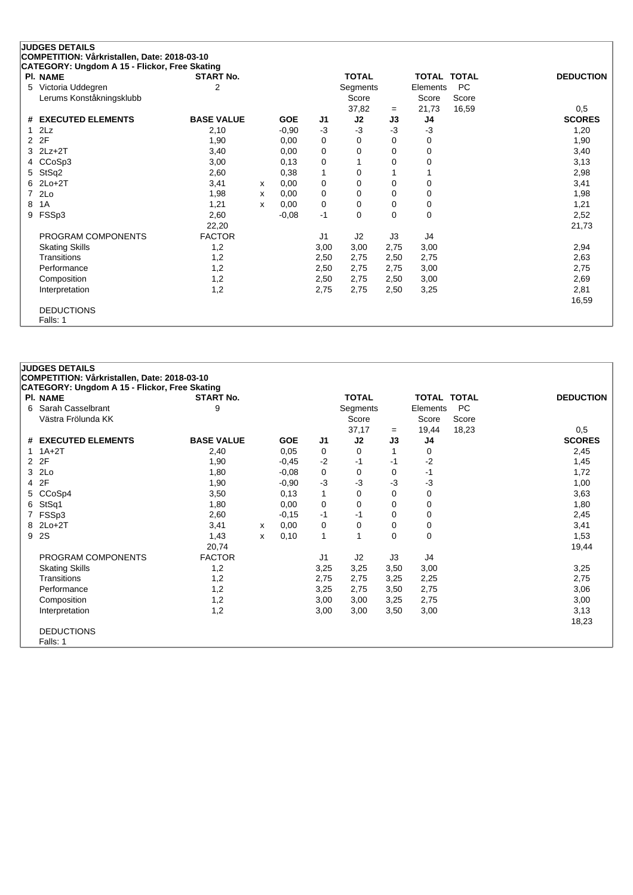| COMPETITION: Vårkristallen, Date: 2018-03-10<br>CATEGORY: Ungdom A 15 - Flickor, Free Skating |                   |   |            |             |              |          |                    |           |                  |
|-----------------------------------------------------------------------------------------------|-------------------|---|------------|-------------|--------------|----------|--------------------|-----------|------------------|
| PI. NAME                                                                                      | <b>START No.</b>  |   |            |             | <b>TOTAL</b> |          | <b>TOTAL TOTAL</b> |           | <b>DEDUCTION</b> |
| Victoria Uddegren<br>5                                                                        | $\overline{2}$    |   |            |             | Segments     |          | Elements           | <b>PC</b> |                  |
| Lerums Konståkningsklubb                                                                      |                   |   |            |             | Score        |          | Score              | Score     |                  |
|                                                                                               |                   |   |            |             | 37,82        | $=$      | 21,73              | 16,59     | 0,5              |
| # EXECUTED ELEMENTS                                                                           | <b>BASE VALUE</b> |   | <b>GOE</b> | J1          | J2           | J3       | J4                 |           | <b>SCORES</b>    |
| 2Lz<br>1                                                                                      | 2,10              |   | $-0,90$    | $-3$        | $-3$         | $-3$     | $-3$               |           | 1,20             |
| 2F<br>2                                                                                       | 1,90              |   | 0.00       | 0           | 0            | 0        | 0                  |           | 1,90             |
| $2Lz+2T$<br>3                                                                                 | 3,40              |   | 0,00       | 0           | 0            | 0        | 0                  |           | 3,40             |
| CCoSp3                                                                                        | 3,00              |   | 0,13       | $\mathbf 0$ |              | 0        | 0                  |           | 3,13             |
| StSq2<br>5                                                                                    | 2,60              |   | 0,38       | 1           | 0            |          |                    |           | 2,98             |
| $2Lo+2T$<br>6                                                                                 | 3,41              | X | 0,00       | 0           | 0            | 0        | 0                  |           | 3,41             |
| 2Lo<br>7                                                                                      | 1,98              | х | 0,00       | 0           | 0            | 0        | 0                  |           | 1,98             |
| 1A<br>8                                                                                       | 1,21              | X | 0,00       | 0           | 0            | 0        | 0                  |           | 1,21             |
| FSSp3<br>9                                                                                    | 2,60              |   | $-0,08$    | $-1$        | 0            | $\Omega$ | 0                  |           | 2,52             |
|                                                                                               | 22,20             |   |            |             |              |          |                    |           | 21,73            |
| PROGRAM COMPONENTS                                                                            | <b>FACTOR</b>     |   |            | J1          | J2           | J3       | J4                 |           |                  |
| <b>Skating Skills</b>                                                                         | 1,2               |   |            | 3,00        | 3,00         | 2,75     | 3,00               |           | 2,94             |
| Transitions                                                                                   | 1,2               |   |            | 2,50        | 2,75         | 2,50     | 2,75               |           | 2,63             |
| Performance                                                                                   | 1,2               |   |            | 2,50        | 2,75         | 2,75     | 3,00               |           | 2,75             |
| Composition                                                                                   | 1,2               |   |            | 2,50        | 2,75         | 2,50     | 3,00               |           | 2,69             |
| Interpretation                                                                                | 1,2               |   |            | 2,75        | 2,75         | 2,50     | 3,25               |           | 2,81             |
|                                                                                               |                   |   |            |             |              |          |                    |           | 16,59            |
| <b>DEDUCTIONS</b>                                                                             |                   |   |            |             |              |          |                    |           |                  |
| Falls: 1                                                                                      |                   |   |            |             |              |          |                    |           |                  |

|   | <b>JUDGES DETAILS</b>                         |                   |   |            |                |              |          |                    |           |                  |
|---|-----------------------------------------------|-------------------|---|------------|----------------|--------------|----------|--------------------|-----------|------------------|
|   | COMPETITION: Vårkristallen, Date: 2018-03-10  |                   |   |            |                |              |          |                    |           |                  |
|   | CATEGORY: Ungdom A 15 - Flickor, Free Skating |                   |   |            |                |              |          |                    |           |                  |
|   | PI. NAME                                      | <b>START No.</b>  |   |            |                | <b>TOTAL</b> |          | <b>TOTAL TOTAL</b> |           | <b>DEDUCTION</b> |
| 6 | Sarah Casselbrant                             | 9                 |   |            |                | Segments     |          | Elements           | <b>PC</b> |                  |
|   | Västra Frölunda KK                            |                   |   |            |                | Score        |          | Score              | Score     |                  |
|   |                                               |                   |   |            |                | 37,17        | $=$      | 19,44              | 18,23     | 0,5              |
| # | <b>EXECUTED ELEMENTS</b>                      | <b>BASE VALUE</b> |   | <b>GOE</b> | J1             | J2           | J3       | J4                 |           | <b>SCORES</b>    |
|   | $1A+2T$                                       | 2,40              |   | 0.05       | 0              | $\Omega$     |          | 0                  |           | 2,45             |
| 2 | 2F                                            | 1,90              |   | $-0,45$    | $-2$           | -1           | -1       | $-2$               |           | 1,45             |
| 3 | 2Lo                                           | 1,80              |   | $-0.08$    | 0              | 0            | 0        | $-1$               |           | 1,72             |
| 4 | 2F                                            | 1,90              |   | $-0.90$    | $-3$           | $-3$         | -3       | $-3$               |           | 1,00             |
| 5 | CCoSp4                                        | 3,50              |   | 0,13       | 1              | $\Omega$     | 0        | 0                  |           | 3,63             |
| 6 | StSq1                                         | 1,80              |   | 0,00       | 0              | 0            | 0        | 0                  |           | 1,80             |
|   | FSSp3                                         | 2,60              |   | $-0,15$    | $-1$           | -1           | 0        | 0                  |           | 2,45             |
| 8 | $2Lo+2T$                                      | 3,41              | x | 0,00       | 0              | 0            | 0        | 0                  |           | 3,41             |
| 9 | 2S                                            | 1,43              | X | 0,10       | 1              | 1            | $\Omega$ | 0                  |           | 1,53             |
|   |                                               | 20,74             |   |            |                |              |          |                    |           | 19,44            |
|   | PROGRAM COMPONENTS                            | <b>FACTOR</b>     |   |            | J <sub>1</sub> | J2           | J3       | J4                 |           |                  |
|   | <b>Skating Skills</b>                         | 1,2               |   |            | 3,25           | 3,25         | 3,50     | 3,00               |           | 3,25             |
|   | Transitions                                   | 1,2               |   |            | 2,75           | 2,75         | 3,25     | 2,25               |           | 2,75             |
|   | Performance                                   | 1,2               |   |            | 3,25           | 2,75         | 3,50     | 2,75               |           | 3,06             |
|   | Composition                                   | 1,2               |   |            | 3,00           | 3,00         | 3,25     | 2,75               |           | 3,00             |
|   | Interpretation                                | 1,2               |   |            | 3,00           | 3,00         | 3,50     | 3,00               |           | 3,13             |
|   |                                               |                   |   |            |                |              |          |                    |           | 18,23            |
|   | <b>DEDUCTIONS</b>                             |                   |   |            |                |              |          |                    |           |                  |
|   | Falls: 1                                      |                   |   |            |                |              |          |                    |           |                  |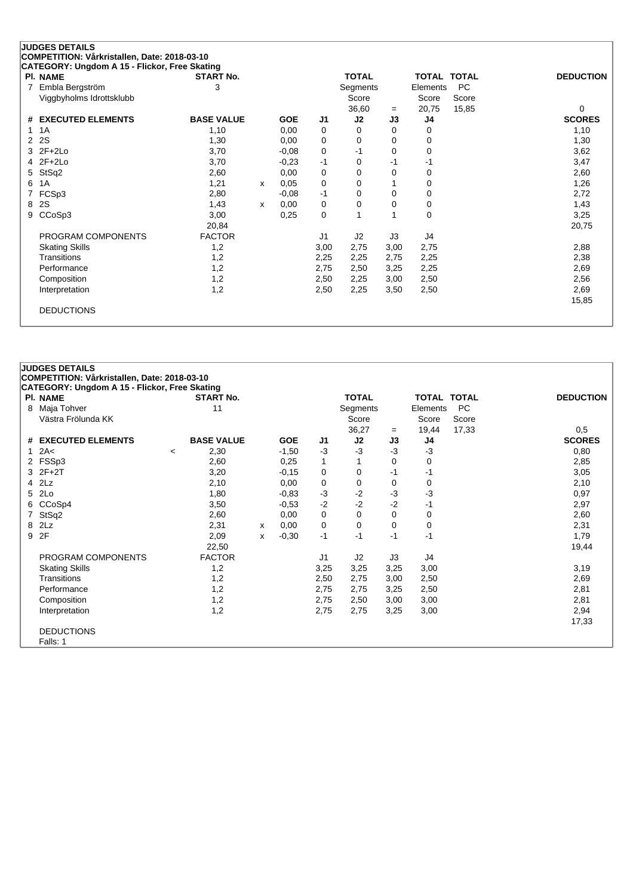| <b>PI. NAME</b>               | <b>START No.</b>  |   |            |             | <b>TOTAL</b>   |          | <b>TOTAL TOTAL</b> |           | <b>DEDUCTION</b> |
|-------------------------------|-------------------|---|------------|-------------|----------------|----------|--------------------|-----------|------------------|
| Embla Bergström<br>7          | 3                 |   |            |             | Segments       |          | Elements           | <b>PC</b> |                  |
| Viggbyholms Idrottsklubb      |                   |   |            |             | Score          |          | Score              | Score     |                  |
|                               |                   |   |            |             | 36,60          | $=$      | 20,75              | 15,85     | $\Omega$         |
| <b>EXECUTED ELEMENTS</b><br># | <b>BASE VALUE</b> |   | <b>GOE</b> | J1          | J2             | J3       | J4                 |           | <b>SCORES</b>    |
| 1A<br>1                       | 1,10              |   | 0,00       | $\Omega$    | 0              | $\Omega$ | 0                  |           | 1,10             |
| 2S<br>2                       | 1,30              |   | 0,00       | 0           | 0              | 0        | 0                  |           | 1,30             |
| $2F+2Lo$<br>3                 | 3,70              |   | $-0,08$    | 0           | -1             | 0        | 0                  |           | 3,62             |
| $2F+2Lo$<br>4                 | 3,70              |   | $-0,23$    | $-1$        | 0              | -1       | $-1$               |           | 3,47             |
| StSq2<br>5                    | 2,60              |   | 0,00       | 0           | 0              | 0        | 0                  |           | 2,60             |
| 1A<br>6                       | 1,21              | x | 0,05       | 0           | 0              |          | 0                  |           | 1,26             |
| FCSp3                         | 2,80              |   | $-0,08$    | $-1$        | 0              | 0        | 0                  |           | 2,72             |
| 2S<br>8                       | 1,43              | x | 0,00       | 0           | 0              | 0        | 0                  |           | 1,43             |
| CCoSp3<br>9                   | 3,00              |   | 0,25       | $\mathbf 0$ |                |          | 0                  |           | 3,25             |
|                               | 20,84             |   |            |             |                |          |                    |           | 20,75            |
| PROGRAM COMPONENTS            | <b>FACTOR</b>     |   |            | J1          | J <sub>2</sub> | J3       | J4                 |           |                  |
| <b>Skating Skills</b>         | 1,2               |   |            | 3,00        | 2,75           | 3,00     | 2,75               |           | 2,88             |
| Transitions                   | 1,2               |   |            | 2,25        | 2,25           | 2,75     | 2,25               |           | 2,38             |
| Performance                   | 1,2               |   |            | 2,75        | 2,50           | 3,25     | 2,25               |           | 2,69             |
| Composition                   | 1,2               |   |            | 2,50        | 2,25           | 3,00     | 2,50               |           | 2,56             |
| Interpretation                | 1,2               |   |            | 2,50        | 2,25           | 3,50     | 2,50               |           | 2,69             |
|                               |                   |   |            |             |                |          |                    |           | 15,85            |

|    | <b>JUDGES DETAILS</b>                         |         |                   |   |            |      |              |      |                    |           |                  |
|----|-----------------------------------------------|---------|-------------------|---|------------|------|--------------|------|--------------------|-----------|------------------|
|    | COMPETITION: Vårkristallen, Date: 2018-03-10  |         |                   |   |            |      |              |      |                    |           |                  |
|    | CATEGORY: Ungdom A 15 - Flickor, Free Skating |         |                   |   |            |      |              |      |                    |           |                  |
|    | PI. NAME                                      |         | <b>START No.</b>  |   |            |      | <b>TOTAL</b> |      | <b>TOTAL TOTAL</b> |           | <b>DEDUCTION</b> |
| 8  | Maja Tohver                                   |         | 11                |   |            |      | Segments     |      | Elements           | <b>PC</b> |                  |
|    | Västra Frölunda KK                            |         |                   |   |            |      | Score        |      | Score              | Score     |                  |
|    |                                               |         |                   |   |            |      | 36,27        | $=$  | 19,44              | 17,33     | 0,5              |
| #  | <b>EXECUTED ELEMENTS</b>                      |         | <b>BASE VALUE</b> |   | <b>GOE</b> | J1   | J2           | J3   | J4                 |           | <b>SCORES</b>    |
| 1. | 2A<                                           | $\prec$ | 2,30              |   | $-1,50$    | $-3$ | $-3$         | $-3$ | $-3$               |           | 0,80             |
|    | 2 FSSp3                                       |         | 2,60              |   | 0,25       | 1    | 1            | 0    | 0                  |           | 2,85             |
|    | 3 2F+2T                                       |         | 3,20              |   | $-0,15$    | 0    | 0            | -1   | $-1$               |           | 3,05             |
|    | $4$ $2Lz$                                     |         | 2,10              |   | 0,00       | 0    | 0            | 0    | 0                  |           | 2,10             |
| 5. | 2Lo                                           |         | 1,80              |   | $-0,83$    | $-3$ | $-2$         | $-3$ | -3                 |           | 0,97             |
|    | 6 CCoSp4                                      |         | 3,50              |   | $-0,53$    | $-2$ | $-2$         | $-2$ | $-1$               |           | 2,97             |
| 7  | StSq2                                         |         | 2,60              |   | 0,00       | 0    | 0            | 0    | 0                  |           | 2,60             |
| 8  | 2Lz                                           |         | 2,31              | x | 0,00       | 0    | $\mathbf 0$  | 0    | $\mathbf 0$        |           | 2,31             |
| 9  | 2F                                            |         | 2,09              | x | $-0,30$    | $-1$ | $-1$         | -1   | $-1$               |           | 1,79             |
|    |                                               |         | 22,50             |   |            |      |              |      |                    |           | 19,44            |
|    | PROGRAM COMPONENTS                            |         | <b>FACTOR</b>     |   |            | J1   | J2           | J3   | J4                 |           |                  |
|    | <b>Skating Skills</b>                         |         | 1,2               |   |            | 3,25 | 3,25         | 3,25 | 3,00               |           | 3,19             |
|    | Transitions                                   |         | 1,2               |   |            | 2,50 | 2,75         | 3,00 | 2,50               |           | 2,69             |
|    | Performance                                   |         | 1,2               |   |            | 2,75 | 2,75         | 3,25 | 2,50               |           | 2,81             |
|    | Composition                                   |         | 1,2               |   |            | 2,75 | 2,50         | 3,00 | 3,00               |           | 2,81             |
|    | Interpretation                                |         | 1,2               |   |            | 2,75 | 2,75         | 3,25 | 3,00               |           | 2,94             |
|    |                                               |         |                   |   |            |      |              |      |                    |           | 17,33            |
|    | <b>DEDUCTIONS</b>                             |         |                   |   |            |      |              |      |                    |           |                  |
|    | Falls: 1                                      |         |                   |   |            |      |              |      |                    |           |                  |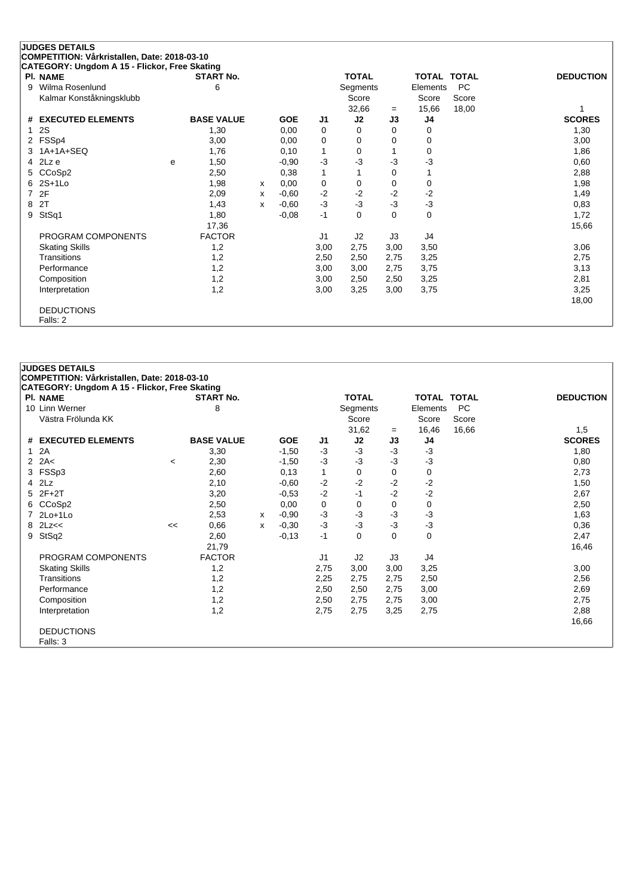|   | <b>JUDGES DETAILS</b>                         |   |                   |   |            |                |              |          |                    |           |                  |
|---|-----------------------------------------------|---|-------------------|---|------------|----------------|--------------|----------|--------------------|-----------|------------------|
|   | COMPETITION: Vårkristallen, Date: 2018-03-10  |   |                   |   |            |                |              |          |                    |           |                  |
|   | CATEGORY: Ungdom A 15 - Flickor, Free Skating |   |                   |   |            |                |              |          |                    |           |                  |
|   | PI. NAME                                      |   | <b>START No.</b>  |   |            |                | <b>TOTAL</b> |          | <b>TOTAL TOTAL</b> |           | <b>DEDUCTION</b> |
| 9 | Wilma Rosenlund                               |   | 6                 |   |            |                | Segments     |          | Elements           | <b>PC</b> |                  |
|   | Kalmar Konståkningsklubb                      |   |                   |   |            |                | Score        |          | Score              | Score     |                  |
|   |                                               |   |                   |   |            |                | 32,66        | $=$      | 15,66              | 18,00     |                  |
| # | <b>EXECUTED ELEMENTS</b>                      |   | <b>BASE VALUE</b> |   | <b>GOE</b> | J1             | J2           | J3       | J4                 |           | <b>SCORES</b>    |
|   | 2S                                            |   | 1,30              |   | 0,00       | 0              | 0            | 0        | 0                  |           | 1,30             |
|   | FSSp4                                         |   | 3,00              |   | 0,00       | 0              | 0            | 0        | 0                  |           | 3,00             |
| 3 | 1A+1A+SEQ                                     |   | 1,76              |   | 0,10       | 1              | 0            |          | 0                  |           | 1,86             |
| 4 | 2Lz e                                         | e | 1,50              |   | $-0,90$    | $-3$           | -3           | -3       | -3                 |           | 0,60             |
| 5 | CCoSp2                                        |   | 2,50              |   | 0,38       | 1              |              | 0        |                    |           | 2,88             |
| 6 | $2S+1Lo$                                      |   | 1,98              | x | 0,00       | 0              | 0            | 0        | 0                  |           | 1,98             |
| 7 | 2F                                            |   | 2,09              | х | $-0,60$    | $-2$           | $-2$         | $-2$     | $-2$               |           | 1,49             |
| 8 | 2T                                            |   | 1,43              | X | $-0,60$    | $-3$           | $-3$         | $-3$     | $-3$               |           | 0,83             |
| 9 | StSq1                                         |   | 1,80              |   | $-0,08$    | $-1$           | $\Omega$     | $\Omega$ | 0                  |           | 1,72             |
|   |                                               |   | 17,36             |   |            |                |              |          |                    |           | 15,66            |
|   | PROGRAM COMPONENTS                            |   | <b>FACTOR</b>     |   |            | J <sub>1</sub> | J2           | J3       | J4                 |           |                  |
|   | <b>Skating Skills</b>                         |   | 1,2               |   |            | 3,00           | 2,75         | 3,00     | 3,50               |           | 3,06             |
|   | Transitions                                   |   | 1,2               |   |            | 2,50           | 2,50         | 2,75     | 3,25               |           | 2,75             |
|   | Performance                                   |   | 1,2               |   |            | 3,00           | 3,00         | 2,75     | 3,75               |           | 3,13             |
|   | Composition                                   |   | 1,2               |   |            | 3,00           | 2,50         | 2,50     | 3,25               |           | 2,81             |
|   | Interpretation                                |   | 1,2               |   |            | 3,00           | 3,25         | 3,00     | 3,75               |           | 3,25             |
|   |                                               |   |                   |   |            |                |              |          |                    |           | 18,00            |
|   | <b>DEDUCTIONS</b>                             |   |                   |   |            |                |              |          |                    |           |                  |
|   | Falls: 2                                      |   |                   |   |            |                |              |          |                    |           |                  |

|              | <b>JUDGES DETAILS</b>                         |         |                   |   |            |                |              |          |             |           |                  |
|--------------|-----------------------------------------------|---------|-------------------|---|------------|----------------|--------------|----------|-------------|-----------|------------------|
|              | COMPETITION: Vårkristallen, Date: 2018-03-10  |         |                   |   |            |                |              |          |             |           |                  |
|              | CATEGORY: Ungdom A 15 - Flickor, Free Skating |         |                   |   |            |                |              |          |             |           |                  |
|              | <b>PI. NAME</b>                               |         | <b>START No.</b>  |   |            |                | <b>TOTAL</b> |          | TOTAL TOTAL |           | <b>DEDUCTION</b> |
|              | 10 Linn Werner                                |         | 8                 |   |            |                | Segments     |          | Elements    | <b>PC</b> |                  |
|              | Västra Frölunda KK                            |         |                   |   |            |                | Score        |          | Score       | Score     |                  |
|              |                                               |         |                   |   |            |                | 31,62        | $=$      | 16,46       | 16,66     | 1,5              |
|              | # EXECUTED ELEMENTS                           |         | <b>BASE VALUE</b> |   | <b>GOE</b> | J1             | J2           | J3       | J4          |           | <b>SCORES</b>    |
| $\mathbf{1}$ | 2A                                            |         | 3,30              |   | $-1,50$    | $-3$           | $-3$         | $-3$     | $-3$        |           | 1,80             |
|              | 2 $2A<$                                       | $\,<\,$ | 2,30              |   | $-1,50$    | $-3$           | -3           | $-3$     | $-3$        |           | 0,80             |
|              | 3 FSSp3                                       |         | 2,60              |   | 0,13       | $\mathbf{1}$   | 0            | 0        | 0           |           | 2,73             |
| 4            | 2Lz                                           |         | 2,10              |   | $-0,60$    | $-2$           | $-2$         | $-2$     | $-2$        |           | 1,50             |
| 5            | $2F+2T$                                       |         | 3,20              |   | $-0,53$    | $-2$           | $-1$         | $-2$     | $-2$        |           | 2,67             |
|              | 6 CCoSp2                                      |         | 2,50              |   | 0,00       | 0              | 0            | 0        | 0           |           | 2,50             |
|              | 7 2Lo+1Lo                                     |         | 2,53              | x | $-0.90$    | $-3$           | -3           | $-3$     | $-3$        |           | 1,63             |
| 8            | 2Lz<<                                         | <<      | 0,66              | x | $-0,30$    | $-3$           | $-3$         | $-3$     | $-3$        |           | 0,36             |
| 9            | StSq2                                         |         | 2,60              |   | $-0,13$    | $-1$           | 0            | $\Omega$ | $\mathbf 0$ |           | 2,47             |
|              |                                               |         | 21,79             |   |            |                |              |          |             |           | 16,46            |
|              | PROGRAM COMPONENTS                            |         | <b>FACTOR</b>     |   |            | J <sub>1</sub> | J2           | J3       | J4          |           |                  |
|              | <b>Skating Skills</b>                         |         | 1,2               |   |            | 2,75           | 3,00         | 3,00     | 3,25        |           | 3,00             |
|              | Transitions                                   |         | 1,2               |   |            | 2,25           | 2,75         | 2,75     | 2,50        |           | 2,56             |
|              | Performance                                   |         | 1,2               |   |            | 2,50           | 2,50         | 2,75     | 3,00        |           | 2,69             |
|              | Composition                                   |         | 1,2               |   |            | 2,50           | 2,75         | 2,75     | 3,00        |           | 2,75             |
|              | Interpretation                                |         | 1,2               |   |            | 2,75           | 2,75         | 3,25     | 2,75        |           | 2,88             |
|              |                                               |         |                   |   |            |                |              |          |             |           | 16,66            |
|              | <b>DEDUCTIONS</b>                             |         |                   |   |            |                |              |          |             |           |                  |
|              | Falls: 3                                      |         |                   |   |            |                |              |          |             |           |                  |